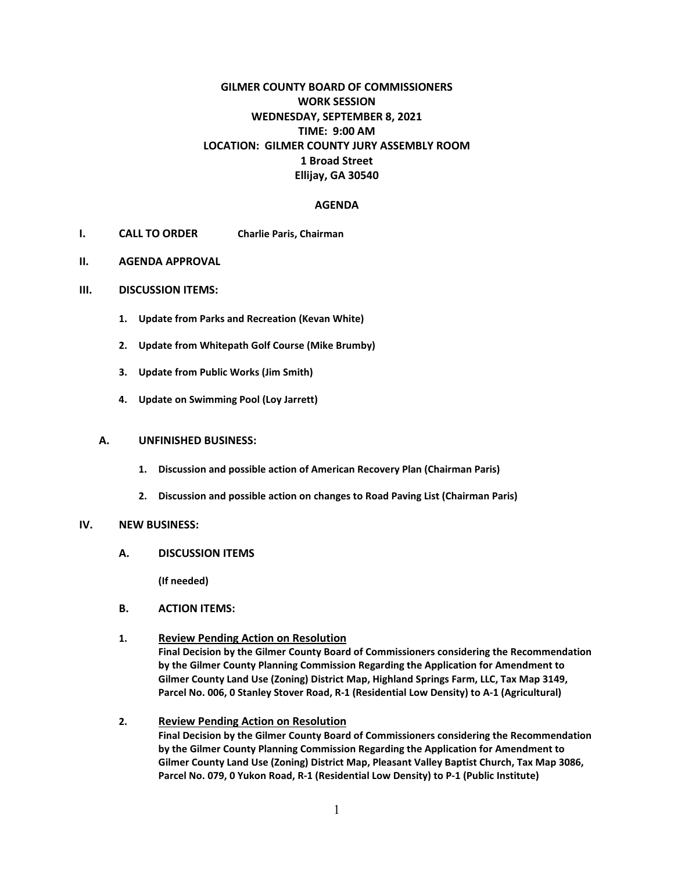# **GILMER COUNTY BOARD OF COMMISSIONERS WORK SESSION WEDNESDAY, SEPTEMBER 8, 2021 TIME: 9:00 AM LOCATION: GILMER COUNTY JURY ASSEMBLY ROOM 1 Broad Street Ellijay, GA 30540**

## **AGENDA**

- **I. CALL TO ORDER Charlie Paris, Chairman**
- **II. AGENDA APPROVAL**

#### **III. DISCUSSION ITEMS:**

- **1. Update from Parks and Recreation (Kevan White)**
- **2. Update from Whitepath Golf Course (Mike Brumby)**
- **3. Update from Public Works (Jim Smith)**
- **4. Update on Swimming Pool (Loy Jarrett)**

#### **A. UNFINISHED BUSINESS:**

- **1. Discussion and possible action of American Recovery Plan (Chairman Paris)**
- **2. Discussion and possible action on changes to Road Paving List (Chairman Paris)**

#### **IV. NEW BUSINESS:**

**A. DISCUSSION ITEMS**

**(If needed)**

- **B. ACTION ITEMS:**
- **1. Review Pending Action on Resolution Final Decision by the Gilmer County Board of Commissioners considering the Recommendation by the Gilmer County Planning Commission Regarding the Application for Amendment to Gilmer County Land Use (Zoning) District Map, Highland Springs Farm, LLC, Tax Map 3149, Parcel No. 006, 0 Stanley Stover Road, R-1 (Residential Low Density) to A-1 (Agricultural)**
- **2. Review Pending Action on Resolution Final Decision by the Gilmer County Board of Commissioners considering the Recommendation by the Gilmer County Planning Commission Regarding the Application for Amendment to Gilmer County Land Use (Zoning) District Map, Pleasant Valley Baptist Church, Tax Map 3086, Parcel No. 079, 0 Yukon Road, R-1 (Residential Low Density) to P-1 (Public Institute)**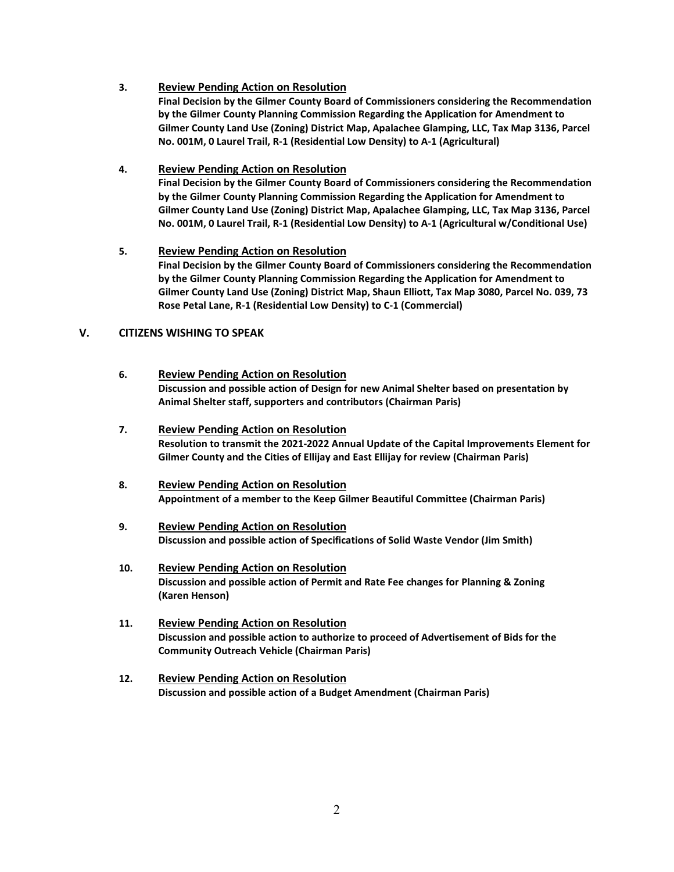# **3. Review Pending Action on Resolution**

**Final Decision by the Gilmer County Board of Commissioners considering the Recommendation by the Gilmer County Planning Commission Regarding the Application for Amendment to Gilmer County Land Use (Zoning) District Map, Apalachee Glamping, LLC, Tax Map 3136, Parcel No. 001M, 0 Laurel Trail, R-1 (Residential Low Density) to A-1 (Agricultural)**

## **4. Review Pending Action on Resolution**

**Final Decision by the Gilmer County Board of Commissioners considering the Recommendation by the Gilmer County Planning Commission Regarding the Application for Amendment to Gilmer County Land Use (Zoning) District Map, Apalachee Glamping, LLC, Tax Map 3136, Parcel No. 001M, 0 Laurel Trail, R-1 (Residential Low Density) to A-1 (Agricultural w/Conditional Use)**

# **5. Review Pending Action on Resolution**

**Final Decision by the Gilmer County Board of Commissioners considering the Recommendation by the Gilmer County Planning Commission Regarding the Application for Amendment to Gilmer County Land Use (Zoning) District Map, Shaun Elliott, Tax Map 3080, Parcel No. 039, 73 Rose Petal Lane, R-1 (Residential Low Density) to C-1 (Commercial)**

# **V. CITIZENS WISHING TO SPEAK**

- **6. Review Pending Action on Resolution Discussion and possible action of Design for new Animal Shelter based on presentation by Animal Shelter staff, supporters and contributors (Chairman Paris)**
- **7. Review Pending Action on Resolution Resolution to transmit the 2021-2022 Annual Update of the Capital Improvements Element for Gilmer County and the Cities of Ellijay and East Ellijay for review (Chairman Paris)**
- **8. Review Pending Action on Resolution Appointment of a member to the Keep Gilmer Beautiful Committee (Chairman Paris)**
- **9. Review Pending Action on Resolution Discussion and possible action of Specifications of Solid Waste Vendor (Jim Smith)**
- **10. Review Pending Action on Resolution Discussion and possible action of Permit and Rate Fee changes for Planning & Zoning (Karen Henson)**
- **11. Review Pending Action on Resolution Discussion and possible action to authorize to proceed of Advertisement of Bids for the Community Outreach Vehicle (Chairman Paris)**
- **12. Review Pending Action on Resolution Discussion and possible action of a Budget Amendment (Chairman Paris)**